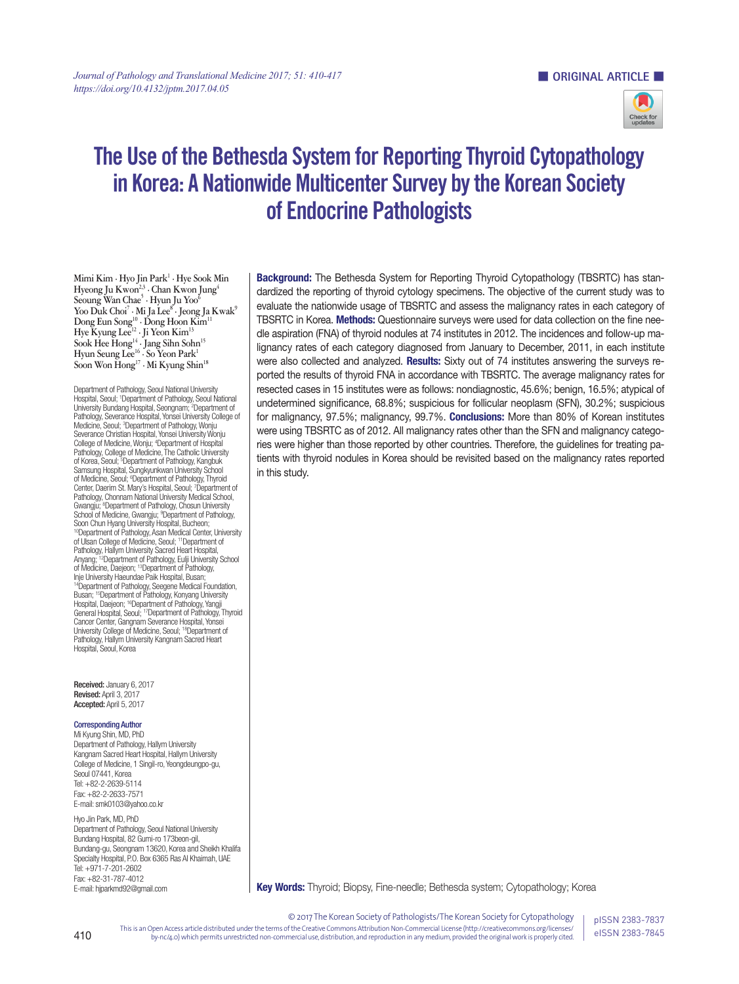

# The Use of the Bethesda System for Reporting Thyroid Cytopathology in Korea: A Nationwide Multicenter Survey by the Korean Society of Endocrine Pathologists

**Mimi Kim · Hyo Jin Park1 · Hye Sook Min Hyeong Ju Kwon2,3 · Chan Kwon Jung4 Seoung Wan Chae5 · Hyun Ju Yoo6 Yoo Duk Choi7 · Mi Ja Lee8 · Jeong Ja Kwak9 Dong Eun Song10 · Dong Hoon Kim11 Hye Kyung Lee12 · Ji Yeon Kim13** Sook Hee Hong<sup>14</sup> · Jang Sihn Sohn<sup>15</sup> **Hyun Seung Lee16 · So Yeon Park1 Soon Won Hong17 · Mi Kyung Shin18**

Department of Pathology, Seoul National University Hospital, Seoul; 1 Department of Pathology, Seoul National University Bundang Hospital, Seongnam; <sup>2</sup>Department of Pathology, Severance Hospital, Yonsei University College of Medicine, Seoul; <sup>3</sup>Department of Pathology, Wonju Severance Christian Hospital, Yonsei University Wonju College of Medicine, Wonju; 4 Department of Hospital Pathology, College of Medicine, The Catholic University of Korea, Seoul; <sup>5</sup>Department of Pathology, Kangbuk<br>Samsung Hospital, Sungkyunkwan University School of Medicine, Seoul; <sup>6</sup>Department of Pathology, Thyroid Center, Daerim St. Mary's Hospital, Seoul; 7 Department of Pathology, Chonnam National University Medical School, Gwangju; 8 Department of Pathology, Chosun University School of Medicine, Gwangju; <sup>9</sup>Department of Pathology, Soon Chun Hyang University Hospital, Bucheon; 10Department of Pathology, Asan Medical Center, University of Ulsan College of Medicine, Seoul; 11Department of Pathology, Hallym University Sacred Heart Hospital,<br>Anyang; 12Department of Pathology, Eulji University School of Medicine, Daejeon; 13Department of Pathology, Inje University Haeundae Paik Hospital, Busan; <sup>14</sup>Department of Pathology, Seegene Medical Foundation, Busan; <sup>15</sup>Department of Pathology, Konyang University<br>Hospital, Daejeon; <sup>16</sup>Department of Pathology, Yangji General Hospital, Seoul; <sup>17</sup>Department of Pathology, Thyroid Cancer Center, Gangnam Severance Hospital, Yonsei University College of Medicine, Seoul; 18Department of Pathology, Hallym University Kangnam Sacred Heart Hospital, Seoul, Korea

Received: January 6, 2017 Revised: April 3, 2017 Accepted: April 5, 2017

### Corresponding Author

Mi Kyung Shin, MD, PhD Department of Pathology, Hallym University Kangnam Sacred Heart Hospital, Hallym University College of Medicine, 1 Singil-ro, Yeongdeungpo-gu, Seoul 07441, Korea Tel: +82-2-2639-5114 Fax: +82-2-2633-7571 E-mail: smk0103@yahoo.co.kr

Hyo Jin Park, MD, PhD Department of Pathology, Seoul National University Bundang Hospital, 82 Gumi-ro 173beon-gil, Bundang-gu, Seongnam 13620, Korea and Sheikh Khalifa Specialty Hospital, P.O. Box 6365 Ras Al Khaimah, UAE Tel: +971-7-201-2602 Fax: +82-31-787-4012 E-mail: hjparkmd92@gmail.com

**Background:** The Bethesda System for Reporting Thyroid Cytopathology (TBSRTC) has standardized the reporting of thyroid cytology specimens. The objective of the current study was to evaluate the nationwide usage of TBSRTC and assess the malignancy rates in each category of TBSRTC in Korea. Methods: Questionnaire surveys were used for data collection on the fine needle aspiration (FNA) of thyroid nodules at 74 institutes in 2012. The incidences and follow-up malignancy rates of each category diagnosed from January to December, 2011, in each institute were also collected and analyzed. Results: Sixty out of 74 institutes answering the surveys reported the results of thyroid FNA in accordance with TBSRTC. The average malignancy rates for resected cases in 15 institutes were as follows: nondiagnostic, 45.6%; benign, 16.5%; atypical of undetermined significance, 68.8%; suspicious for follicular neoplasm (SFN), 30.2%; suspicious for malignancy, 97.5%; malignancy, 99.7%. **Conclusions:** More than 80% of Korean institutes were using TBSRTC as of 2012. All malignancy rates other than the SFN and malignancy categories were higher than those reported by other countries. Therefore, the guidelines for treating patients with thyroid nodules in Korea should be revisited based on the malignancy rates reported in this study.

Key Words: Thyroid; Biopsy, Fine-needle; Bethesda system; Cytopathology; Korea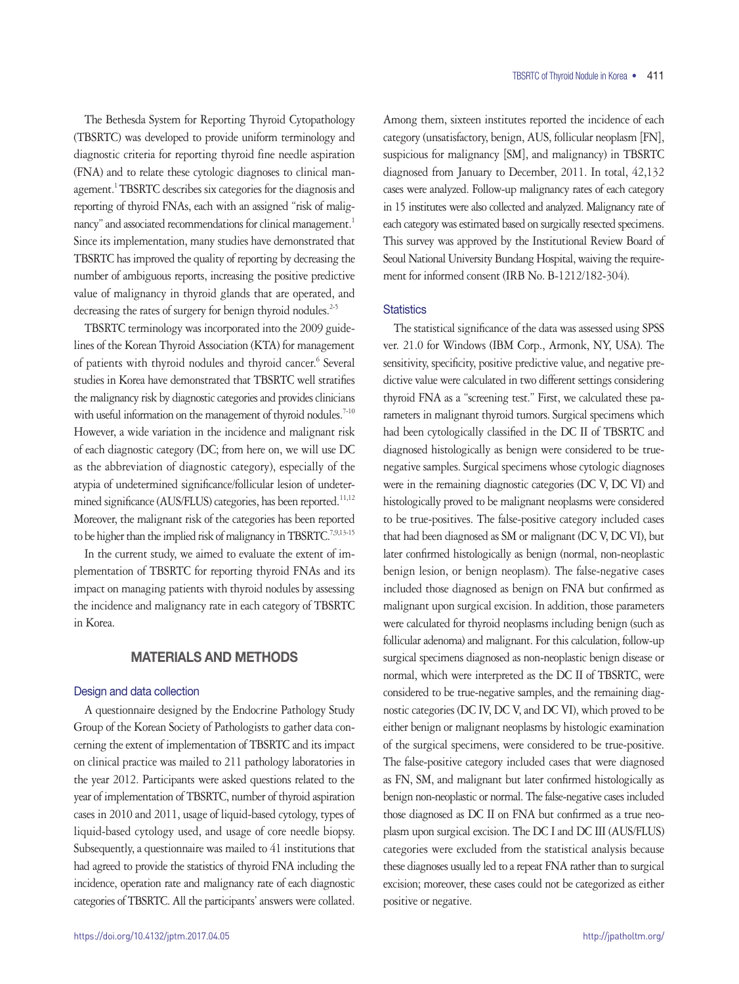The Bethesda System for Reporting Thyroid Cytopathology (TBSRTC) was developed to provide uniform terminology and diagnostic criteria for reporting thyroid fine needle aspiration (FNA) and to relate these cytologic diagnoses to clinical management.<sup>1</sup> TBSRTC describes six categories for the diagnosis and reporting of thyroid FNAs, each with an assigned "risk of malignancy" and associated recommendations for clinical management.<sup>1</sup> Since its implementation, many studies have demonstrated that TBSRTC has improved the quality of reporting by decreasing the number of ambiguous reports, increasing the positive predictive value of malignancy in thyroid glands that are operated, and decreasing the rates of surgery for benign thyroid nodules.<sup>2-5</sup>

TBSRTC terminology was incorporated into the 2009 guidelines of the Korean Thyroid Association (KTA) for management of patients with thyroid nodules and thyroid cancer.<sup>6</sup> Several studies in Korea have demonstrated that TBSRTC well stratifies the malignancy risk by diagnostic categories and provides clinicians with useful information on the management of thyroid nodules.<sup>7-10</sup> However, a wide variation in the incidence and malignant risk of each diagnostic category (DC; from here on, we will use DC as the abbreviation of diagnostic category), especially of the atypia of undetermined significance/follicular lesion of undetermined significance (AUS/FLUS) categories, has been reported.<sup>11,12</sup> Moreover, the malignant risk of the categories has been reported to be higher than the implied risk of malignancy in TBSRTC.<sup>7,9,13-15</sup>

In the current study, we aimed to evaluate the extent of implementation of TBSRTC for reporting thyroid FNAs and its impact on managing patients with thyroid nodules by assessing the incidence and malignancy rate in each category of TBSRTC in Korea.

# MATERIALS AND METHODS

## Design and data collection

A questionnaire designed by the Endocrine Pathology Study Group of the Korean Society of Pathologists to gather data concerning the extent of implementation of TBSRTC and its impact on clinical practice was mailed to 211 pathology laboratories in the year 2012. Participants were asked questions related to the year of implementation of TBSRTC, number of thyroid aspiration cases in 2010 and 2011, usage of liquid-based cytology, types of liquid-based cytology used, and usage of core needle biopsy. Subsequently, a questionnaire was mailed to 41 institutions that had agreed to provide the statistics of thyroid FNA including the incidence, operation rate and malignancy rate of each diagnostic categories of TBSRTC. All the participants' answers were collated.

Among them, sixteen institutes reported the incidence of each category (unsatisfactory, benign, AUS, follicular neoplasm [FN], suspicious for malignancy [SM], and malignancy) in TBSRTC diagnosed from January to December, 2011. In total, 42,132 cases were analyzed. Follow-up malignancy rates of each category in 15 institutes were also collected and analyzed. Malignancy rate of each category was estimated based on surgically resected specimens. This survey was approved by the Institutional Review Board of Seoul National University Bundang Hospital, waiving the requirement for informed consent (IRB No. B-1212/182-304).

## **Statistics**

The statistical significance of the data was assessed using SPSS ver. 21.0 for Windows (IBM Corp., Armonk, NY, USA). The sensitivity, specificity, positive predictive value, and negative predictive value were calculated in two different settings considering thyroid FNA as a "screening test." First, we calculated these parameters in malignant thyroid tumors. Surgical specimens which had been cytologically classified in the DC II of TBSRTC and diagnosed histologically as benign were considered to be truenegative samples. Surgical specimens whose cytologic diagnoses were in the remaining diagnostic categories (DC V, DC VI) and histologically proved to be malignant neoplasms were considered to be true-positives. The false-positive category included cases that had been diagnosed as SM or malignant (DC V, DC VI), but later confirmed histologically as benign (normal, non-neoplastic benign lesion, or benign neoplasm). The false-negative cases included those diagnosed as benign on FNA but confirmed as malignant upon surgical excision. In addition, those parameters were calculated for thyroid neoplasms including benign (such as follicular adenoma) and malignant. For this calculation, follow-up surgical specimens diagnosed as non-neoplastic benign disease or normal, which were interpreted as the DC II of TBSRTC, were considered to be true-negative samples, and the remaining diagnostic categories (DC IV, DC V, and DC VI), which proved to be either benign or malignant neoplasms by histologic examination of the surgical specimens, were considered to be true-positive. The false-positive category included cases that were diagnosed as FN, SM, and malignant but later confirmed histologically as benign non-neoplastic or normal. The false-negative cases included those diagnosed as DC II on FNA but confirmed as a true neoplasm upon surgical excision. The DC I and DC III (AUS/FLUS) categories were excluded from the statistical analysis because these diagnoses usually led to a repeat FNA rather than to surgical excision; moreover, these cases could not be categorized as either positive or negative.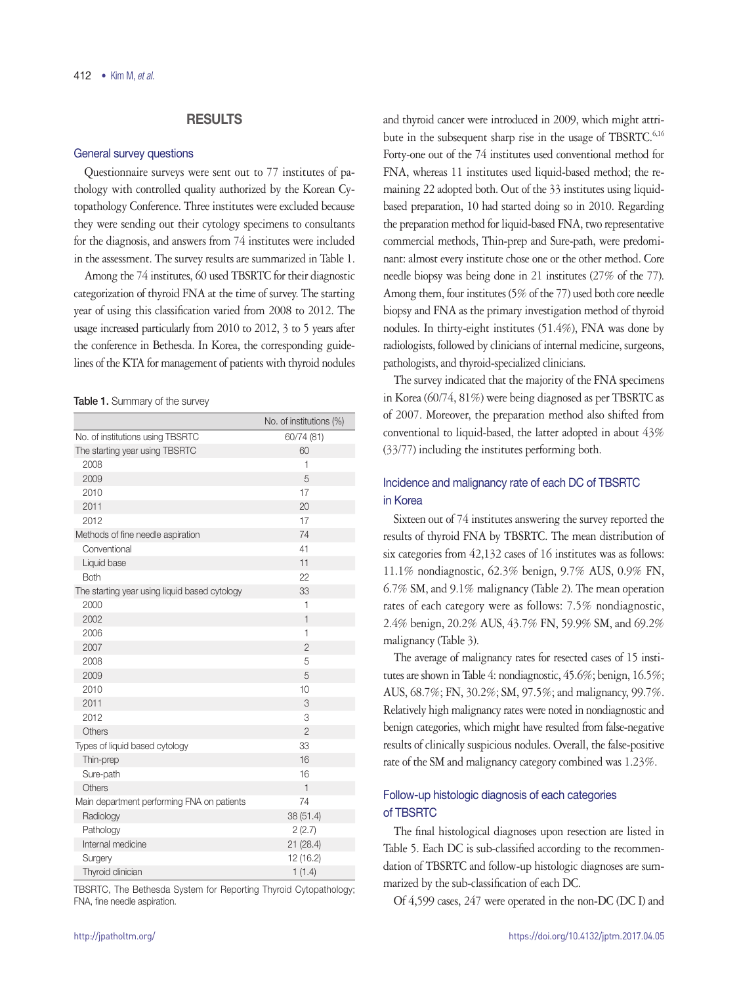# RESULTS

## General survey questions

Questionnaire surveys were sent out to 77 institutes of pathology with controlled quality authorized by the Korean Cytopathology Conference. Three institutes were excluded because they were sending out their cytology specimens to consultants for the diagnosis, and answers from 74 institutes were included in the assessment. The survey results are summarized in Table 1.

Among the 74 institutes, 60 used TBSRTC for their diagnostic categorization of thyroid FNA at the time of survey. The starting year of using this classification varied from 2008 to 2012. The usage increased particularly from 2010 to 2012, 3 to 5 years after the conference in Bethesda. In Korea, the corresponding guidelines of the KTA for management of patients with thyroid nodules

#### Table 1. Summary of the survey

|                                               | No. of institutions (%) |
|-----------------------------------------------|-------------------------|
| No. of institutions using TBSRTC              | 60/74 (81)              |
| The starting year using TBSRTC                | 60                      |
| 2008                                          | 1                       |
| 2009                                          | 5                       |
| 2010                                          | 17                      |
| 2011                                          | 20                      |
| 2012                                          | 17                      |
| Methods of fine needle aspiration             | 74                      |
| Conventional                                  | 41                      |
| Liquid base                                   | 11                      |
| <b>Both</b>                                   | 22                      |
| The starting year using liquid based cytology | 33                      |
| 2000                                          | $\mathbf{1}$            |
| 2002                                          | $\mathbf{1}$            |
| 2006                                          | 1                       |
| 2007                                          | $\overline{2}$          |
| 2008                                          | 5                       |
| 2009                                          | 5                       |
| 2010                                          | 10                      |
| 2011                                          | 3                       |
| 2012                                          | 3                       |
| Others                                        | $\overline{2}$          |
| Types of liquid based cytology                | 33                      |
| Thin-prep                                     | 16                      |
| Sure-path                                     | 16                      |
| Others                                        | $\mathbf{1}$            |
| Main department performing FNA on patients    | 74                      |
| Radiology                                     | 38 (51.4)               |
| Pathology                                     | 2(2.7)                  |
| Internal medicine                             | 21 (28.4)               |
| Surgery                                       | 12 (16.2)               |
| Thyroid clinician                             | 1(1.4)                  |

TBSRTC, The Bethesda System for Reporting Thyroid Cytopathology; FNA, fine needle aspiration.

and thyroid cancer were introduced in 2009, which might attribute in the subsequent sharp rise in the usage of TBSRTC.<sup>6,16</sup> Forty-one out of the 74 institutes used conventional method for FNA, whereas 11 institutes used liquid-based method; the remaining 22 adopted both. Out of the 33 institutes using liquidbased preparation, 10 had started doing so in 2010. Regarding the preparation method for liquid-based FNA, two representative commercial methods, Thin-prep and Sure-path, were predominant: almost every institute chose one or the other method. Core needle biopsy was being done in 21 institutes (27% of the 77). Among them, four institutes (5% of the 77) used both core needle biopsy and FNA as the primary investigation method of thyroid nodules. In thirty-eight institutes (51.4%), FNA was done by radiologists, followed by clinicians of internal medicine, surgeons, pathologists, and thyroid-specialized clinicians.

The survey indicated that the majority of the FNA specimens in Korea (60/74, 81%) were being diagnosed as per TBSRTC as of 2007. Moreover, the preparation method also shifted from conventional to liquid-based, the latter adopted in about 43% (33/77) including the institutes performing both.

# Incidence and malignancy rate of each DC of TBSRTC in Korea

Sixteen out of 74 institutes answering the survey reported the results of thyroid FNA by TBSRTC. The mean distribution of six categories from 42,132 cases of 16 institutes was as follows: 11.1% nondiagnostic, 62.3% benign, 9.7% AUS, 0.9% FN, 6.7% SM, and 9.1% malignancy (Table 2). The mean operation rates of each category were as follows: 7.5% nondiagnostic, 2.4% benign, 20.2% AUS, 43.7% FN, 59.9% SM, and 69.2% malignancy (Table 3).

The average of malignancy rates for resected cases of 15 institutes are shown in Table 4: nondiagnostic, 45.6%; benign, 16.5%; AUS, 68.7%; FN, 30.2%; SM, 97.5%; and malignancy, 99.7%. Relatively high malignancy rates were noted in nondiagnostic and benign categories, which might have resulted from false-negative results of clinically suspicious nodules. Overall, the false-positive rate of the SM and malignancy category combined was 1.23%.

# Follow-up histologic diagnosis of each categories of TBSRTC

The final histological diagnoses upon resection are listed in Table 5. Each DC is sub-classified according to the recommendation of TBSRTC and follow-up histologic diagnoses are summarized by the sub-classification of each DC.

Of 4,599 cases, 247 were operated in the non-DC (DC I) and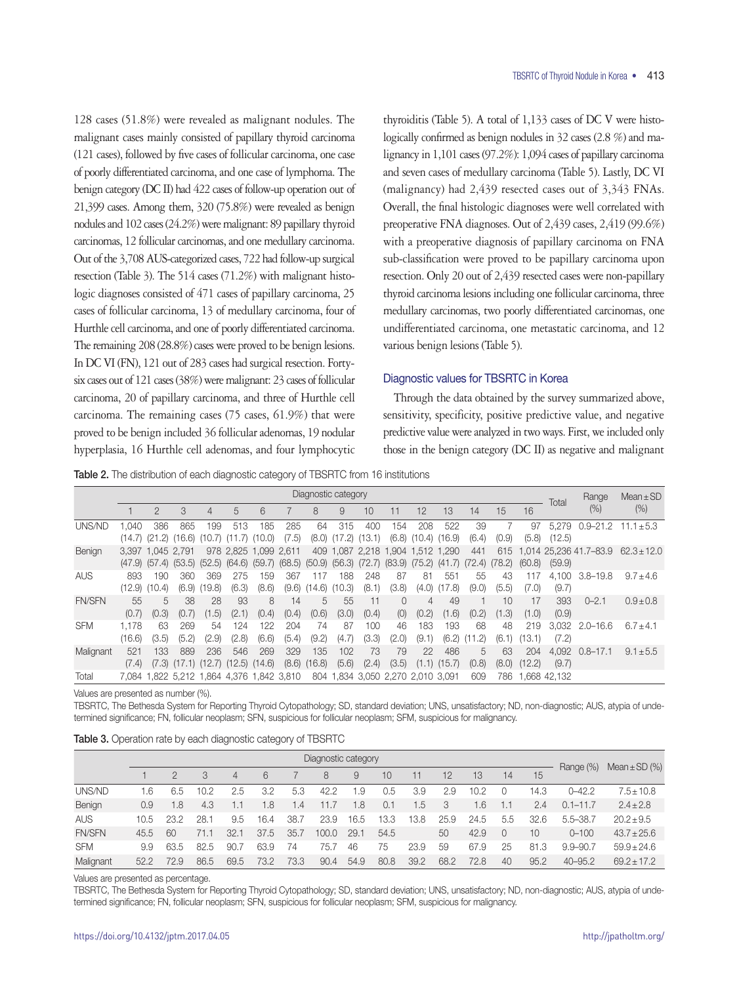128 cases (51.8%) were revealed as malignant nodules. The malignant cases mainly consisted of papillary thyroid carcinoma (121 cases), followed by five cases of follicular carcinoma, one case of poorly differentiated carcinoma, and one case of lymphoma. The benign category (DC II) had 422 cases of follow-up operation out of 21,399 cases. Among them, 320 (75.8%) were revealed as benign nodules and 102 cases (24.2%) were malignant: 89 papillary thyroid carcinomas, 12 follicular carcinomas, and one medullary carcinoma. Out of the 3,708 AUS-categorized cases, 722 had follow-up surgical resection (Table 3). The 514 cases (71.2%) with malignant histologic diagnoses consisted of 471 cases of papillary carcinoma, 25 cases of follicular carcinoma, 13 of medullary carcinoma, four of Hurthle cell carcinoma, and one of poorly differentiated carcinoma. The remaining 208 (28.8%) cases were proved to be benign lesions. In DC VI (FN), 121 out of 283 cases had surgical resection. Fortysix cases out of 121 cases (38%) were malignant: 23 cases of follicular carcinoma, 20 of papillary carcinoma, and three of Hurthle cell carcinoma. The remaining cases (75 cases, 61.9%) that were proved to be benign included 36 follicular adenomas, 19 nodular hyperplasia, 16 Hurthle cell adenomas, and four lymphocytic

thyroiditis (Table 5). A total of 1,133 cases of DC V were histologically confirmed as benign nodules in 32 cases (2.8 %) and malignancy in 1,101 cases (97.2%): 1,094 cases of papillary carcinoma and seven cases of medullary carcinoma (Table 5). Lastly, DC VI (malignancy) had 2,439 resected cases out of 3,343 FNAs. Overall, the final histologic diagnoses were well correlated with preoperative FNA diagnoses. Out of 2,439 cases, 2,419 (99.6%) with a preoperative diagnosis of papillary carcinoma on FNA sub-classification were proved to be papillary carcinoma upon resection. Only 20 out of 2,439 resected cases were non-papillary thyroid carcinoma lesions including one follicular carcinoma, three medullary carcinomas, two poorly differentiated carcinomas, one undifferentiated carcinoma, one metastatic carcinoma, and 12 various benign lesions (Table 5).

## Diagnostic values for TBSRTC in Korea

Through the data obtained by the survey summarized above, sensitivity, specificity, positive predictive value, and negative predictive value were analyzed in two ways. First, we included only those in the benign category (DC II) as negative and malignant

Table 2. The distribution of each diagnostic category of TBSRTC from 16 institutions

|               |                         | Diagnostic category |               |                          |                                            |               |                                     |               |               |               |                                                                 |               |               |               |               |               | Total           | Range                  | $Mean \pm SD$   |  |
|---------------|-------------------------|---------------------|---------------|--------------------------|--------------------------------------------|---------------|-------------------------------------|---------------|---------------|---------------|-----------------------------------------------------------------|---------------|---------------|---------------|---------------|---------------|-----------------|------------------------|-----------------|--|
|               |                         | $\overline{2}$      | 3             | 4                        | 5                                          | 6             |                                     | 8             | 9             | 10            | 11                                                              | 12            | 13            | 14            | 15            | 16            |                 | $(\% )$                | (% )            |  |
| UNS/ND        | .040<br>$(14.7)$ $(21)$ | 386<br>.2)          | 865<br>(16.6) | 199<br>(10.7)            | 513<br>(11.7)                              | 185<br>(10.0) | 285<br>(7.5)                        | 64<br>(8.0)   | 315<br>(17.2) | 400<br>(13.1) | 154<br>(6.8)                                                    | 208<br>(10.4) | 522<br>(16.9) | 39<br>(6.4)   | (0.9)         | 97<br>(5.8)   | 5.279<br>(12.5) | $0.9 - 21.2$           | $11.1 \pm 5.3$  |  |
| Benign        | (47.9)                  | 3.397 1.045 2.791   | (57.4) (53.5) |                          | 978 2.825 1.099 2.611<br>$(52.5)$ $(64.6)$ |               | $(59.7)$ $(68.5)$ $(50.9)$ $(56.3)$ |               |               |               | 409 1,087 2,218 1,904 1,512 1,290<br>$(72.7)$ $(83.9)$ $(75.2)$ |               | (41.7)        | 441<br>(72.4) | 615<br>(78.2) | (60.8)        | (59.9)          | 1.014 25.236 41.7-83.9 | $62.3 \pm 12.0$ |  |
| <b>AUS</b>    | 893<br>(12.9)           | 190<br>(10.4)       | 360<br>(6.9)  | 369<br>19.8              | 275<br>(6.3)                               | 159<br>(8.6)  | 367<br>(9.6)                        | 117<br>(14.6) | 188<br>(10.3) | 248<br>(8.1)  | 87<br>(3.8)                                                     | 81<br>(4.0)   | 551<br>(17.8) | 55<br>(9.0)   | 43<br>(5.5)   | 117<br>(7.0)  | 4.100<br>(9.7)  | $3.8 - 19.8$           | $9.7 + 4.6$     |  |
| <b>FN/SFN</b> | 55<br>(0.7)             | 5<br>(0.3)          | 38<br>(0.7)   | 28<br>(1.5)              | 93<br>(2.1)                                | 8<br>(0.4)    | 14<br>(0.4)                         | 5<br>(0.6)    | 55<br>(3.0)   | 11<br>(0.4)   | 0<br>(0)                                                        | 4<br>(0.2)    | 49<br>(1.6)   | (0.2)         | 10<br>(1.3)   | 17<br>(1.0)   | 393<br>(0.9)    | $0 - 2.1$              | $0.9 + 0.8$     |  |
| <b>SFM</b>    | 1.178<br>(16.6)         | 63<br>(3.5)         | 269<br>(5.2)  | 54<br>(2.9)              | 124<br>(2.8)                               | 122<br>(6.6)  | 204<br>(5.4)                        | 74<br>(9.2)   | 87<br>(4.7)   | 100<br>(3.3)  | 46<br>(2.0)                                                     | 183<br>(9.1)  | 193<br>(6.2)  | 68<br>1.2     | 48<br>(6.1)   | 219<br>(13.1) | (7.2)           | 3.032 2.0-16.6         | $6.7 + 4.1$     |  |
| Malignant     | 521<br>(7.4)            | 133<br>(7.3)        | 889           | 236<br>$(17.1)$ $(12.7)$ | 546<br>(12.5)                              | 269<br>(14.6) | 329<br>(8.6)                        | 135<br>(16.8) | 102<br>(5.6)  | 73<br>(2.4)   | 79<br>(3.5)                                                     | 22<br>(1.1)   | 486<br>(15.7) | 5<br>(0.8)    | 63<br>(8.0)   | 204<br>(12.2) | 4.092<br>(9.7)  | $0.8 - 17.1$           | $9.1 \pm 5.5$   |  |
| Total         |                         |                     |               |                          | 7.084 1.822 5.212 1.864 4.376 1.842 3.810  |               |                                     |               |               |               | 804 1.834 3.050 2.270 2.010 3.091                               |               |               | 609           | 786           |               | .668 42.132     |                        |                 |  |

Values are presented as number (%).

TBSRTC, The Bethesda System for Reporting Thyroid Cytopathology; SD, standard deviation; UNS, unsatisfactory; ND, non-diagnostic; AUS, atypia of undetermined significance; FN, follicular neoplasm; SFN, suspicious for follicular neoplasm; SFM, suspicious for malignancy.

|  |  | <b>Table 3.</b> Operation rate by each diagnostic category of TBSRTC |  |  |
|--|--|----------------------------------------------------------------------|--|--|
|  |  |                                                                      |  |  |

|               | Diagnostic category |      |      |      |      |      |       |      |      |      |      |      |          |      |              | Mean $\pm$ SD $(\%)$ |  |
|---------------|---------------------|------|------|------|------|------|-------|------|------|------|------|------|----------|------|--------------|----------------------|--|
|               |                     |      | 3    | 4    | 6    |      | 8     | 9    | 10   | 11   | 12   | 13   | 14       | 15   | Range (%)    |                      |  |
| UNS/ND        | 1.6                 | 6.5  | 10.2 | 2.5  | 3.2  | 5.3  | 42.2  | 1.9  | 0.5  | 3.9  | 2.9  | 10.2 | O        | 14.3 | $0 - 42.2$   | $7.5 \pm 10.8$       |  |
| Benign        | 0.9                 | 1.8  | 4.3  | 1.1  | 1.8  | 1.4  | 11.7  | 1.8  | 0.1  | 1.5  | 3    | 1.6  | 1.1      | 2.4  | $0.1 - 11.7$ | $2.4 \pm 2.8$        |  |
| <b>AUS</b>    | 10.5                | 23.2 | 28.1 | 9.5  | 16.4 | 38.7 | 23.9  | 16.5 | 13.3 | 13.8 | 25.9 | 24.5 | 5.5      | 32.6 | $5.5 - 38.7$ | $20.2 \pm 9.5$       |  |
| <b>FN/SFN</b> | 45.5                | 60   | 71.1 | 32.1 | 37.5 | 35.7 | 100.0 | 29.1 | 54.5 |      | 50   | 42.9 | $\Omega$ | 10   | $0 - 100$    | $43.7 \pm 25.6$      |  |
| <b>SFM</b>    | 9.9                 | 63.5 | 82.5 | 90.7 | 63.9 | 74   | 75.7  | 46   | 75   | 23.9 | 59   | 67.9 | 25       | 81.3 | $9.9 - 90.7$ | $59.9 \pm 24.6$      |  |
| Malignant     | 52.2                | 72.9 | 86.5 | 69.5 | 73.2 | 73.3 | 90.4  | 54.9 | 80.8 | 39.2 | 68.2 | 72.8 | 40       | 95.2 | 40-95.2      | $69.2 + 17.2$        |  |

Values are presented as percentage.

TBSRTC, The Bethesda System for Reporting Thyroid Cytopathology; SD, standard deviation; UNS, unsatisfactory; ND, non-diagnostic; AUS, atypia of undetermined significance; FN, follicular neoplasm; SFN, suspicious for follicular neoplasm; SFM, suspicious for malignancy.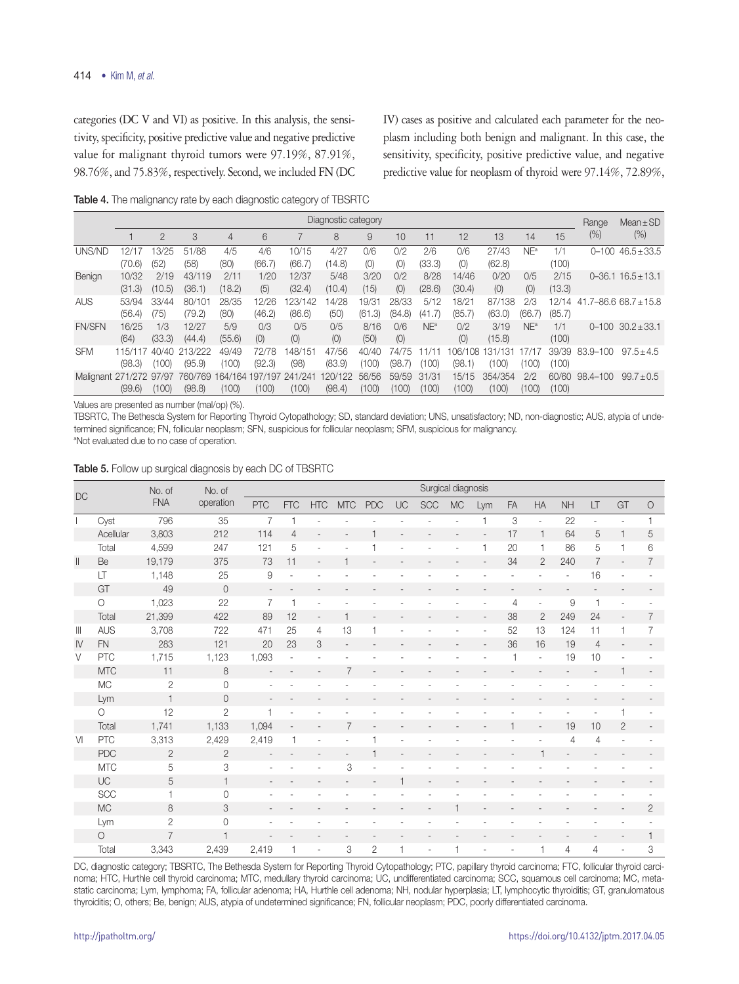categories (DC V and VI) as positive. In this analysis, the sensitivity, specificity, positive predictive value and negative predictive value for malignant thyroid tumors were 97.19%, 87.91%, 98.76%, and 75.83%, respectively. Second, we included FN (DC IV) cases as positive and calculated each parameter for the neoplasm including both benign and malignant. In this case, the sensitivity, specificity, positive predictive value, and negative predictive value for neoplasm of thyroid were 97.14%, 72.89%,

Table 4. The malignancy rate by each diagnostic category of TBSRTC

|                         | Diagnostic category |                |                   |                  |                  |                   |                   |                 |                 |                 |                   |                       |                 |                 |           | $Mean \pm SD$             |  |
|-------------------------|---------------------|----------------|-------------------|------------------|------------------|-------------------|-------------------|-----------------|-----------------|-----------------|-------------------|-----------------------|-----------------|-----------------|-----------|---------------------------|--|
|                         |                     | $\overline{2}$ | 3                 | 4                | 6                |                   | 8                 | 9               | 10              | 11              | 12                | 13                    | 14              | 15              | $(\% )$   | (%)                       |  |
| UNS/ND                  | 12/1.<br>(70.6)     | 13/25<br>(52)  | 51/88<br>(58)     | 4/5<br>(80)      | 4/6<br>(66.7)    | 10/15<br>(66.7    | 4/27<br>(14.8)    | 0/6<br>(0)      | 0/2<br>(O)      | 2/6<br>(33.3)   | 0/6<br>(0)        | 27/43<br>(62.8)       | NE <sup>a</sup> | 1/1<br>(100)    |           | $0 - 100$ $46.5 \pm 33.5$ |  |
| Benign                  | 10/32<br>(31.3)     | 2/19<br>(10.5) | 43/119<br>(36.1)  | 2/11<br>(18.2)   | 1/20<br>(5)      | 12/37<br>(32.4)   | 5/48<br>(10.4)    | 3/20<br>(15)    | 0/2<br>(0)      | 8/28<br>(28.6)  | 14/46<br>(30.4)   | 0/20<br>(0)           | 0/5<br>(0)      | 2/15<br>(13.3)  |           | $0 - 36.1$ $16.5 + 13.1$  |  |
| <b>AUS</b>              | 53/94<br>(56.4)     | 33/44<br>(75)  | 80/101<br>(79.2)  | 28/35<br>(80)    | 12/26<br>(46.2)  | 123/142<br>(86.6) | 4/28<br>(50)      | 19/31<br>(61.3) | 28/33<br>(84.8) | 5/12<br>(41.7)  | 18/21<br>(85.7)   | 87/138<br>(63.0)      | 2/3<br>(66.7)   | 12/14<br>(85.7) |           | $41.7 - 86.668.7 + 15.8$  |  |
| <b>FN/SFN</b>           | 16/25<br>(64)       | 1/3<br>(33.3)  | 12/27<br>(44.4)   | 5/9<br>(55.6)    | 0/3<br>(0)       | 0/5<br>(0)        | 0/5<br>(0)        | 8/16<br>(50)    | 0/6<br>(0)      | NE <sup>a</sup> | 0/2<br>(0)        | 3/19<br>(15.8)        | NE <sup>a</sup> | 1/1<br>(100)    | $0 - 100$ | $30.2 \pm 33.1$           |  |
| <b>SFM</b>              | 115/117<br>(98.3)   | 40/40<br>(100) | 213/222<br>(95.9) | 49/49<br>(100)   | 72/78<br>(92.3)  | 148/151<br>(98)   | 47/56<br>(83.9)   | 40/40<br>100)   | 74/75<br>(98.7  | (100)           | 106/108<br>(98.1) | .7131<br>131<br>(100) | (100)           | 39/39<br>(100)  | 83.9-100  | $97.5 + 4.5$              |  |
| Malignant 271/272 97/97 | (99.6)              | (100)          | 760/769<br>(98.8) | 164/164<br>(100) | 197/197<br>(100) | 241/241<br>(100)  | 120/122<br>(98.4) | 56/56<br>(100)  | 59/59<br>(100)  | 31/31<br>(100)  | 15/15<br>(100)    | 354/354<br>(100)      | 2/2<br>(100)    | 60/60<br>(100)  | 98.4-100  | $99.7 \pm 0.5$            |  |

Values are presented as number (mal/op) (%).

TBSRTC, The Bethesda System for Reporting Thyroid Cytopathology; SD, standard deviation; UNS, unsatisfactory; ND, non-diagnostic; AUS, atypia of undetermined significance; FN, follicular neoplasm; SFN, suspicious for follicular neoplasm; SFM, suspicious for malignancy. a Not evaluated due to no case of operation.

|                                                                           |             |                       |                | Surgical diagnosis<br>No. of |                          |                |                |                |              |     |              |     |           |                          |                |                          |              |                |
|---------------------------------------------------------------------------|-------------|-----------------------|----------------|------------------------------|--------------------------|----------------|----------------|----------------|--------------|-----|--------------|-----|-----------|--------------------------|----------------|--------------------------|--------------|----------------|
| <b>DC</b>                                                                 |             | No. of<br>${\sf FNA}$ | operation      |                              |                          |                |                |                |              |     |              |     |           |                          |                |                          |              |                |
|                                                                           |             |                       |                | PTC                          | <b>FTC</b>               | <b>HTC</b>     | <b>MTC</b>     | <b>PDC</b>     | UC           | SCC | <b>MC</b>    | Lym | <b>FA</b> | <b>HA</b>                | <b>NH</b>      | LT                       | GT           | $\mathsf{C}$   |
|                                                                           | Cyst        | 796                   | 35             | $\overline{7}$               | 1                        |                |                |                |              |     |              | 1   | 3         | $\overline{\phantom{a}}$ | 22             | $\overline{\phantom{a}}$ |              |                |
|                                                                           | Acellular   | 3,803                 | 212            | 114                          | $\overline{4}$           |                |                |                |              |     |              |     | 17        | $\mathbf{1}$             | 64             | 5                        |              | 5              |
|                                                                           | Total       | 4,599                 | 247            | 121                          | 5                        |                |                |                |              |     |              | 1   | 20        | $\mathbf{1}$             | 86             | 5                        |              | 6              |
| $\label{eq:1} \prod_{i=1}^n \left\{ \prod_{i=1}^n \frac{1}{n_i} \right\}$ | Be          | 19,179                | 375            | 73                           | 11                       |                |                |                |              |     |              |     | 34        | $\overline{2}$           | 240            | $\overline{7}$           |              | $\overline{7}$ |
|                                                                           | LT          | 1,148                 | 25             | $\hbox{9}$                   | ä,                       |                |                |                |              |     |              |     |           |                          | $\overline{a}$ | 16                       |              |                |
|                                                                           | GT          | 49                    | $\mathbf 0$    | $\overline{\phantom{m}}$     | $\overline{\phantom{0}}$ |                |                |                |              |     |              |     |           |                          |                |                          |              |                |
|                                                                           | $\circ$     | 1,023                 | 22             | $\overline{7}$               | 1                        |                |                |                |              |     |              |     | 4         | $\overline{\phantom{a}}$ | $\mathcal G$   | $\mathbf{1}$             |              |                |
|                                                                           | Total       | 21,399                | 422            | 89                           | 12                       | $\overline{a}$ | 1              |                |              |     |              |     | 38        | $\overline{2}$           | 249            | 24                       |              | 7              |
| $\parallel \parallel$                                                     | <b>AUS</b>  | 3,708                 | 722            | 471                          | 25                       | 4              | 13             |                |              |     |              |     | 52        | 13                       | 124            | 11                       |              | 7              |
| $\mathsf{I}\mathsf{V}$                                                    | ${\sf FN}$  | 283                   | 121            | 20                           | 23                       | 3              |                |                |              |     |              |     | 36        | 16                       | 19             | $\overline{4}$           |              |                |
| V                                                                         | ${\sf PTC}$ | 1,715                 | 1,123          | 1,093                        | $\overline{\phantom{a}}$ |                |                |                |              |     |              |     |           | $\overline{\phantom{a}}$ | 19             | 10                       |              |                |
|                                                                           | <b>MTC</b>  | 11                    | 8              |                              |                          |                | $\overline{7}$ |                |              |     |              |     |           |                          |                |                          |              |                |
|                                                                           | $\rm MC$    | $\overline{2}$        | $\mathbf 0$    |                              |                          |                |                |                |              |     |              |     |           |                          |                |                          |              |                |
|                                                                           | Lym         | 1                     | $\overline{0}$ |                              |                          |                |                |                |              |     |              |     |           |                          |                |                          |              |                |
|                                                                           | $\circ$     | 12                    | $\overline{2}$ | $\mathbf{1}$                 |                          |                |                |                |              |     |              |     |           |                          |                |                          |              |                |
|                                                                           | Total       | 1,741                 | 1,133          | 1,094                        | $\overline{a}$           |                | 7              |                |              |     |              |     |           | $\overline{a}$           | 19             | 10                       | $\mathbf{2}$ |                |
| V <sub>l</sub>                                                            | PTC         | 3,313                 | 2,429          | 2,419                        | 1                        |                |                |                |              |     |              |     |           |                          | 4              | $\overline{4}$           |              |                |
|                                                                           | <b>PDC</b>  | $\overline{c}$        | $\overline{c}$ |                              |                          |                |                |                |              |     |              |     |           | $\overline{1}$           |                |                          |              |                |
|                                                                           | <b>MTC</b>  | 5                     | 3              |                              |                          |                | 3              |                |              |     |              |     |           |                          |                |                          |              |                |
|                                                                           | UC          | 5                     | $\mathbf{1}$   |                              |                          |                |                |                | 1            |     |              |     |           |                          |                |                          |              |                |
|                                                                           | SCC         | 1                     | $\circ$        |                              |                          |                |                |                |              |     |              |     |           |                          |                |                          |              |                |
|                                                                           | <b>MC</b>   | 8                     | 3              |                              |                          |                |                |                |              |     |              |     |           |                          |                |                          |              | $\overline{2}$ |
|                                                                           | Lym         | $\overline{c}$        | $\overline{0}$ |                              |                          |                |                |                |              |     |              |     |           |                          |                |                          |              |                |
|                                                                           | $\circ$     | $\overline{7}$        | $\mathbf{1}$   |                              |                          |                |                |                |              |     |              |     |           |                          |                |                          |              |                |
|                                                                           | Total       | 3,343                 | 2,439          | 2,419                        | $\mathbf{1}$             | ä,             | 3              | $\overline{2}$ | $\mathbf{1}$ | ÷.  | $\mathbf{1}$ | ٠   | ٠         | $\overline{1}$           | $\overline{4}$ | 4                        |              | 3              |

Table 5. Follow up surgical diagnosis by each DC of TBSRTC

DC, diagnostic category; TBSRTC, The Bethesda System for Reporting Thyroid Cytopathology; PTC, papillary thyroid carcinoma; FTC, follicular thyroid carcinoma; HTC, Hurthle cell thyroid carcinoma; MTC, medullary thyroid carcinoma; UC, undifferentiated carcinoma; SCC, squamous cell carcinoma; MC, metastatic carcinoma; Lym, lymphoma; FA, follicular adenoma; HA, Hurthle cell adenoma; NH, nodular hyperplasia; LT, lymphocytic thyroiditis; GT, granulomatous thyroiditis; O, others; Be, benign; AUS, atypia of undetermined significance; FN, follicular neoplasm; PDC, poorly differentiated carcinoma.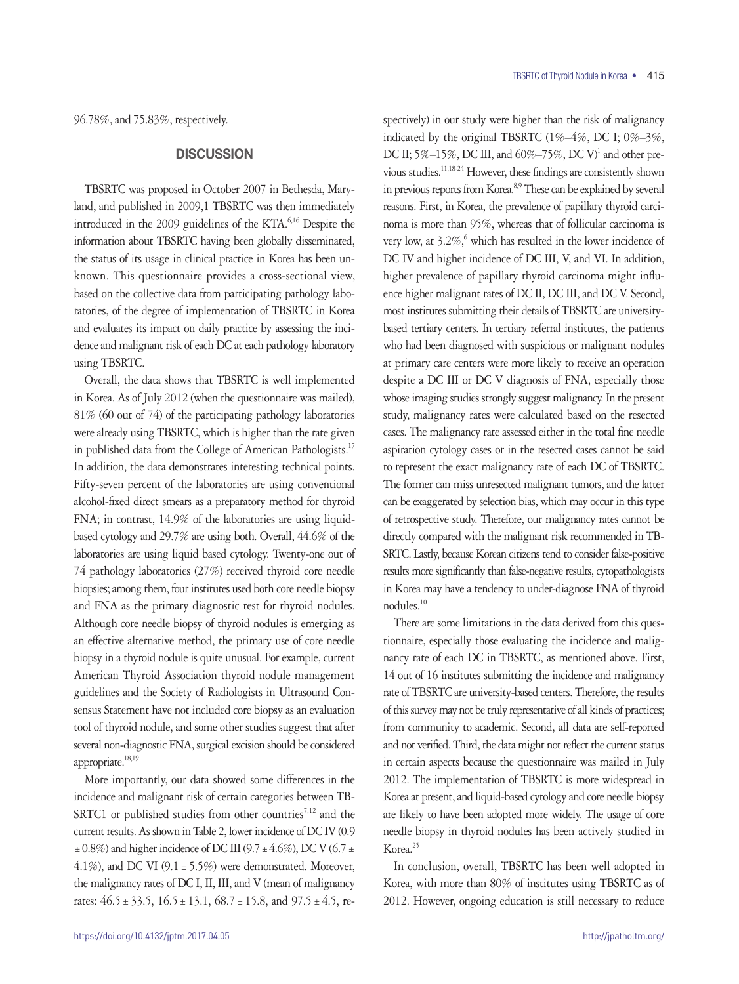96.78%, and 75.83%, respectively.

# **DISCUSSION**

TBSRTC was proposed in October 2007 in Bethesda, Maryland, and published in 2009,1 TBSRTC was then immediately introduced in the 2009 guidelines of the KTA.<sup>6,16</sup> Despite the information about TBSRTC having been globally disseminated, the status of its usage in clinical practice in Korea has been unknown. This questionnaire provides a cross-sectional view, based on the collective data from participating pathology laboratories, of the degree of implementation of TBSRTC in Korea and evaluates its impact on daily practice by assessing the incidence and malignant risk of each DC at each pathology laboratory using TBSRTC.

Overall, the data shows that TBSRTC is well implemented in Korea. As of July 2012 (when the questionnaire was mailed), 81% (60 out of 74) of the participating pathology laboratories were already using TBSRTC, which is higher than the rate given in published data from the College of American Pathologists.<sup>17</sup> In addition, the data demonstrates interesting technical points. Fifty-seven percent of the laboratories are using conventional alcohol-fixed direct smears as a preparatory method for thyroid FNA; in contrast, 14.9% of the laboratories are using liquidbased cytology and 29.7% are using both. Overall, 44.6% of the laboratories are using liquid based cytology. Twenty-one out of 74 pathology laboratories (27%) received thyroid core needle biopsies; among them, four institutes used both core needle biopsy and FNA as the primary diagnostic test for thyroid nodules. Although core needle biopsy of thyroid nodules is emerging as an effective alternative method, the primary use of core needle biopsy in a thyroid nodule is quite unusual. For example, current American Thyroid Association thyroid nodule management guidelines and the Society of Radiologists in Ultrasound Consensus Statement have not included core biopsy as an evaluation tool of thyroid nodule, and some other studies suggest that after several non-diagnostic FNA, surgical excision should be considered appropriate.<sup>18,19</sup>

More importantly, our data showed some differences in the incidence and malignant risk of certain categories between TB-SRTC1 or published studies from other countries<sup>7,12</sup> and the current results. As shown in Table 2, lower incidence of DC IV (0.9  $\pm$  0.8%) and higher incidence of DC III (9.7 $\pm$ 4.6%), DC V (6.7 $\pm$ 4.1%), and DC VI (9.1  $\pm$  5.5%) were demonstrated. Moreover, the malignancy rates of DC I, II, III, and V (mean of malignancy rates:  $46.5 \pm 33.5$ ,  $16.5 \pm 13.1$ ,  $68.7 \pm 15.8$ , and  $97.5 \pm 4.5$ , respectively) in our study were higher than the risk of malignancy indicated by the original TBSRTC (1%–4%, DC I; 0%–3%, DC II; 5%-15%, DC III, and 60%-75%, DC V<sup>1</sup> and other previous studies.11,18-24 However, these findings are consistently shown in previous reports from Korea.<sup>8,9</sup> These can be explained by several reasons. First, in Korea, the prevalence of papillary thyroid carcinoma is more than 95%, whereas that of follicular carcinoma is very low, at  $3.2\%$ , which has resulted in the lower incidence of DC IV and higher incidence of DC III, V, and VI. In addition, higher prevalence of papillary thyroid carcinoma might influence higher malignant rates of DC II, DC III, and DC V. Second, most institutes submitting their details of TBSRTC are universitybased tertiary centers. In tertiary referral institutes, the patients who had been diagnosed with suspicious or malignant nodules at primary care centers were more likely to receive an operation despite a DC III or DC V diagnosis of FNA, especially those whose imaging studies strongly suggest malignancy. In the present study, malignancy rates were calculated based on the resected cases. The malignancy rate assessed either in the total fine needle aspiration cytology cases or in the resected cases cannot be said to represent the exact malignancy rate of each DC of TBSRTC. The former can miss unresected malignant tumors, and the latter can be exaggerated by selection bias, which may occur in this type of retrospective study. Therefore, our malignancy rates cannot be directly compared with the malignant risk recommended in TB-SRTC. Lastly, because Korean citizens tend to consider false-positive results more significantly than false-negative results, cytopathologists in Korea may have a tendency to under-diagnose FNA of thyroid nodules.10

There are some limitations in the data derived from this questionnaire, especially those evaluating the incidence and malignancy rate of each DC in TBSRTC, as mentioned above. First, 14 out of 16 institutes submitting the incidence and malignancy rate of TBSRTC are university-based centers. Therefore, the results of this survey may not be truly representative of all kinds of practices; from community to academic. Second, all data are self-reported and not verified. Third, the data might not reflect the current status in certain aspects because the questionnaire was mailed in July 2012. The implementation of TBSRTC is more widespread in Korea at present, and liquid-based cytology and core needle biopsy are likely to have been adopted more widely. The usage of core needle biopsy in thyroid nodules has been actively studied in Korea.<sup>25</sup>

In conclusion, overall, TBSRTC has been well adopted in Korea, with more than 80% of institutes using TBSRTC as of 2012. However, ongoing education is still necessary to reduce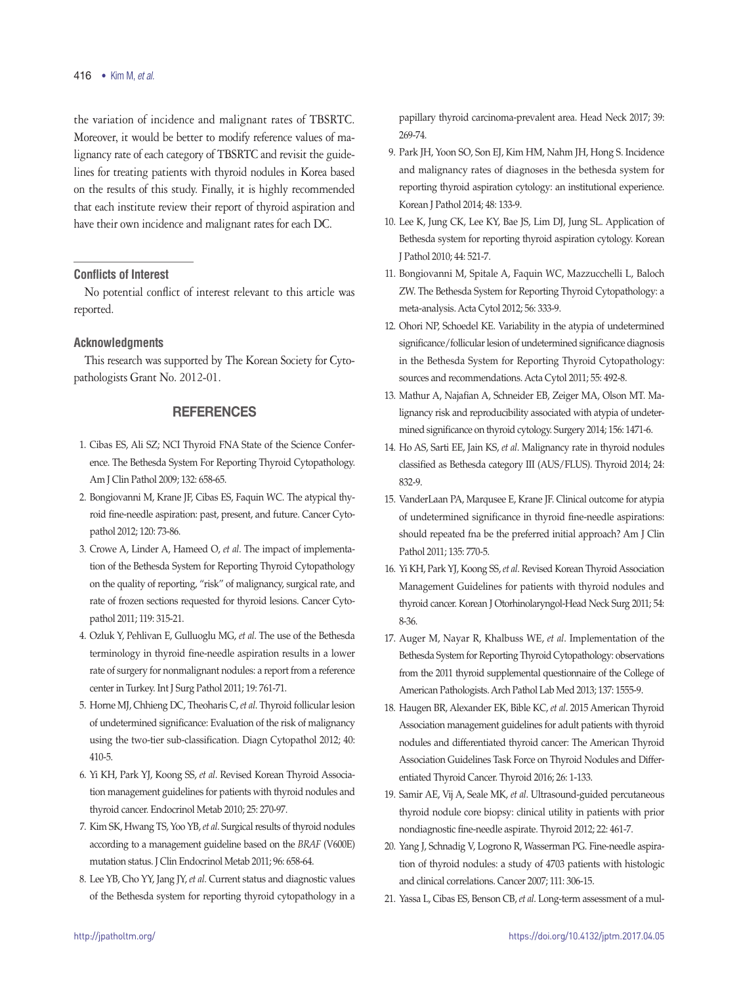## 416 • Kim M, *et al.*

the variation of incidence and malignant rates of TBSRTC. Moreover, it would be better to modify reference values of malignancy rate of each category of TBSRTC and revisit the guidelines for treating patients with thyroid nodules in Korea based on the results of this study. Finally, it is highly recommended that each institute review their report of thyroid aspiration and have their own incidence and malignant rates for each DC.

## **Conflicts of Interest**

No potential conflict of interest relevant to this article was reported.

## **Acknowledgments**

This research was supported by The Korean Society for Cytopathologists Grant No. 2012-01.

# **REFERENCES**

- 1. Cibas ES, Ali SZ; NCI Thyroid FNA State of the Science Conference. The Bethesda System For Reporting Thyroid Cytopathology. Am J Clin Pathol 2009; 132: 658-65.
- 2. Bongiovanni M, Krane JF, Cibas ES, Faquin WC. The atypical thyroid fine-needle aspiration: past, present, and future. Cancer Cytopathol 2012; 120: 73-86.
- 3. Crowe A, Linder A, Hameed O, *et al*. The impact of implementation of the Bethesda System for Reporting Thyroid Cytopathology on the quality of reporting, "risk" of malignancy, surgical rate, and rate of frozen sections requested for thyroid lesions. Cancer Cytopathol 2011; 119: 315-21.
- 4. Ozluk Y, Pehlivan E, Gulluoglu MG, *et al*. The use of the Bethesda terminology in thyroid fine-needle aspiration results in a lower rate of surgery for nonmalignant nodules: a report from a reference center in Turkey. Int J Surg Pathol 2011; 19: 761-71.
- 5. Horne MJ, Chhieng DC, Theoharis C, *et al*. Thyroid follicular lesion of undetermined significance: Evaluation of the risk of malignancy using the two-tier sub-classification. Diagn Cytopathol 2012; 40: 410-5.
- 6. Yi KH, Park YJ, Koong SS, *et al*. Revised Korean Thyroid Association management guidelines for patients with thyroid nodules and thyroid cancer. Endocrinol Metab 2010; 25: 270-97.
- 7. Kim SK, Hwang TS, Yoo YB, et al. Surgical results of thyroid nodules according to a management guideline based on the *BRAF* (V600E) mutation status. J Clin Endocrinol Metab 2011; 96: 658-64.
- 8. Lee YB, Cho YY, Jang JY, et al. Current status and diagnostic values of the Bethesda system for reporting thyroid cytopathology in a

papillary thyroid carcinoma-prevalent area. Head Neck 2017; 39: 269-74.

- 9. Park JH, Yoon SO, Son EJ, Kim HM, Nahm JH, Hong S. Incidence and malignancy rates of diagnoses in the bethesda system for reporting thyroid aspiration cytology: an institutional experience. Korean J Pathol 2014; 48: 133-9.
- 10. Lee K, Jung CK, Lee KY, Bae JS, Lim DJ, Jung SL. Application of Bethesda system for reporting thyroid aspiration cytology. Korean J Pathol 2010; 44: 521-7.
- 11. Bongiovanni M, Spitale A, Faquin WC, Mazzucchelli L, Baloch ZW. The Bethesda System for Reporting Thyroid Cytopathology: a meta-analysis. Acta Cytol 2012; 56: 333-9.
- 12. Ohori NP, Schoedel KE. Variability in the atypia of undetermined significance/follicular lesion of undetermined significance diagnosis in the Bethesda System for Reporting Thyroid Cytopathology: sources and recommendations. Acta Cytol 2011; 55: 492-8.
- 13. Mathur A, Najafian A, Schneider EB, Zeiger MA, Olson MT. Malignancy risk and reproducibility associated with atypia of undetermined significance on thyroid cytology. Surgery 2014; 156: 1471-6.
- 14. Ho AS, Sarti EE, Jain KS, *et al*. Malignancy rate in thyroid nodules classified as Bethesda category III (AUS/FLUS). Thyroid 2014; 24: 832-9.
- 15. VanderLaan PA, Marqusee E, Krane JF. Clinical outcome for atypia of undetermined significance in thyroid fine-needle aspirations: should repeated fna be the preferred initial approach? Am J Clin Pathol 2011; 135: 770-5.
- 16. Yi KH, Park YJ, Koong SS,*et al*. Revised Korean Thyroid Association Management Guidelines for patients with thyroid nodules and thyroid cancer. Korean J Otorhinolaryngol-Head Neck Surg 2011; 54: 8-36.
- 17. Auger M, Nayar R, Khalbuss WE, et al. Implementation of the Bethesda System for Reporting Thyroid Cytopathology: observations from the 2011 thyroid supplemental questionnaire of the College of American Pathologists.Arch Pathol Lab Med 2013; 137: 1555-9.
- 18. Haugen BR, Alexander EK, Bible KC, et al. 2015 American Thyroid Association management guidelines for adult patients with thyroid nodules and differentiated thyroid cancer: The American Thyroid Association Guidelines Task Force on Thyroid Nodules and Differentiated Thyroid Cancer. Thyroid 2016; 26: 1-133.
- 19. Samir AE, Vij A, Seale MK, *et al*. Ultrasound-guided percutaneous thyroid nodule core biopsy: clinical utility in patients with prior nondiagnostic fine-needle aspirate. Thyroid 2012; 22: 461-7.
- 20. Yang J, Schnadig V, Logrono R, Wasserman PG. Fine-needle aspiration of thyroid nodules: a study of 4703 patients with histologic and clinical correlations. Cancer 2007; 111: 306-15.
- 21. Yassa L, Cibas ES, Benson CB, *et al*. Long-term assessment of a mul-